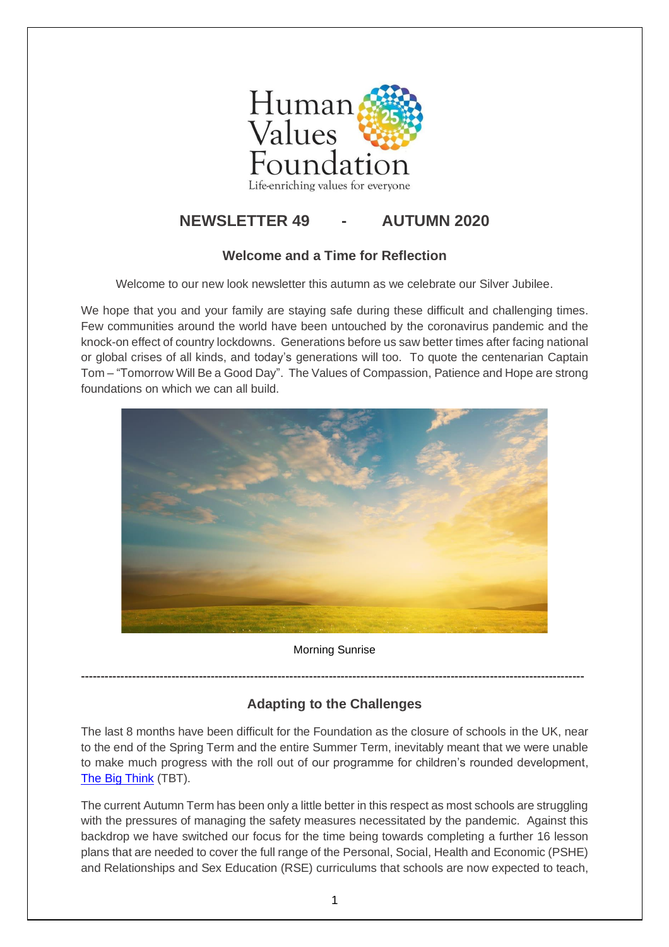

# **NEWSLETTER 49 - AUTUMN 2020**

#### **Welcome and a Time for Reflection**

Welcome to our new look newsletter this autumn as we celebrate our Silver Jubilee.

We hope that you and your family are staying safe during these difficult and challenging times. Few communities around the world have been untouched by the coronavirus pandemic and the knock-on effect of country lockdowns. Generations before us saw better times after facing national or global crises of all kinds, and today's generations will too. To quote the centenarian Captain Tom – "Tomorrow Will Be a Good Day". The Values of Compassion, Patience and Hope are strong foundations on which we can all build.



#### Morning Sunrise

**--------------------------------------------------------------------------------------------------------------------------------**

## **Adapting to the Challenges**

The last 8 months have been difficult for the Foundation as the closure of schools in the UK, near to the end of the Spring Term and the entire Summer Term, inevitably meant that we were unable to make much progress with the roll out of our programme for children's rounded development, [The Big Think](https://www.the-big-think.org/) (TBT).

The current Autumn Term has been only a little better in this respect as most schools are struggling with the pressures of managing the safety measures necessitated by the pandemic. Against this backdrop we have switched our focus for the time being towards completing a further 16 lesson plans that are needed to cover the full range of the Personal, Social, Health and Economic (PSHE) and Relationships and Sex Education (RSE) curriculums that schools are now expected to teach,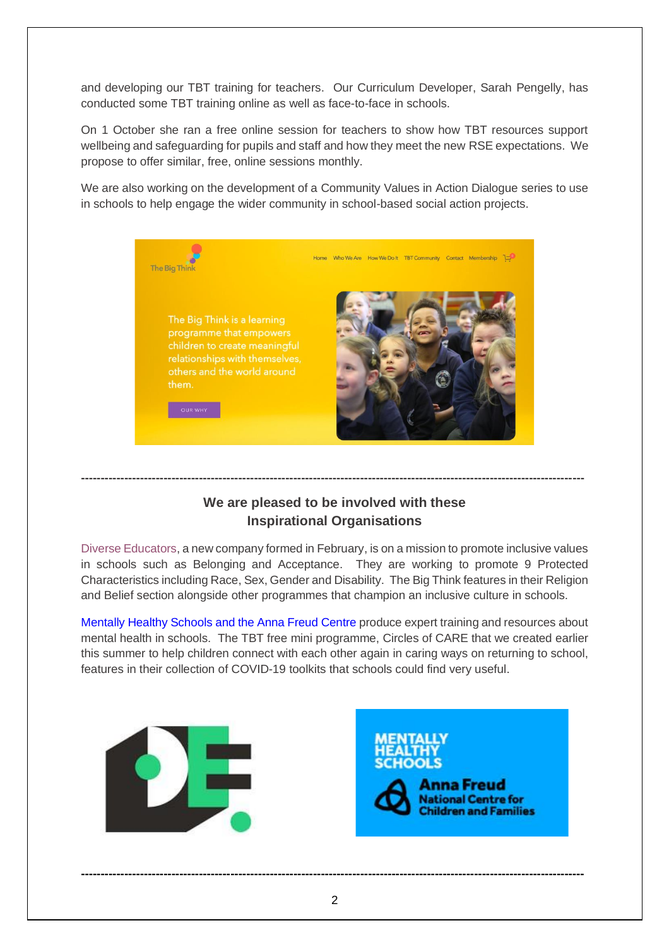and developing our TBT training for teachers. Our Curriculum Developer, Sarah Pengelly, has conducted some TBT training online as well as face-to-face in schools.

On 1 October she ran a free online session for teachers to show how TBT resources support wellbeing and safeguarding for pupils and staff and how they meet the new RSE expectations. We propose to offer similar, free, online sessions monthly.

We are also working on the development of a Community Values in Action Dialogue series to use in schools to help engage the wider community in school-based social action projects.



### **We are pleased to be involved with these Inspirational Organisations**

**--------------------------------------------------------------------------------------------------------------------------------**

[Diverse Educators,](https://www.diverseeducators.co.uk/religion-and-belief/) a new company formed in February, is on a mission to promote inclusive values in schools such as Belonging and Acceptance. They are working to promote 9 Protected Characteristics including Race, Sex, Gender and Disability. The Big Think features in their Religion and Belief section alongside other programmes that champion an inclusive culture in schools.

Mentally Healthy Schools [and the Anna Freud Centre](https://www.mentallyhealthyschools.org.uk/resources/coronavirus-returning-to-school-toolkit-8/?page=1&IssuePageId=12639) produce expert training and resources about mental health in schools. The TBT free mini programme, [Circles of CARE](https://www.thebigthinkcommunity.org/) that we created earlier this summer to help children connect with each other again in caring ways on returning to school, features in their collection of COVID-19 toolkits that schools could find very useful.



**--------------------------------------------------------------------------------------------------------------------------------**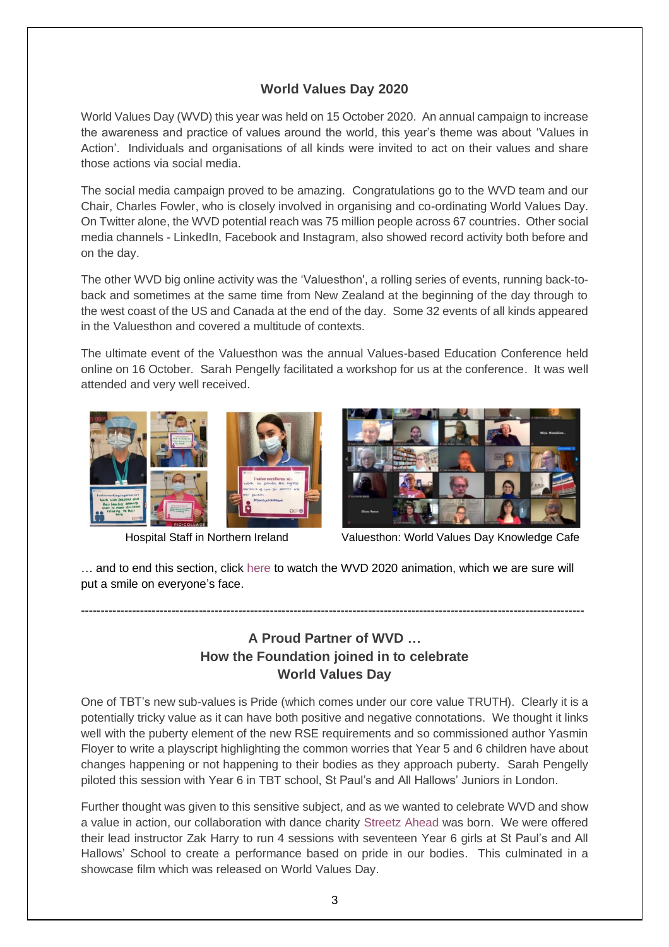#### **World Values Day 2020**

[World Values Day](https://www.worldvaluesday.com/) (WVD) this year was held on 15 October 2020. An annual campaign to increase the awareness and practice of values around the world, this year's theme was about 'Values in Action'. Individuals and organisations of all kinds were invited to act on their values and share those actions via social media.

The social media campaign proved to be amazing. Congratulations go to the WVD team and our Chair, Charles Fowler, who is closely involved in organising and co-ordinating World Values Day. On Twitter alone, the WVD potential reach was 75 million people across 67 countries. Other social media channels - LinkedIn, Facebook and Instagram, also showed record activity both before and on the day.

The other WVD big online activity was the ['Valuesthon',](https://www.worldvaluesday.com/valuesthon/) a rolling series of events, running back-toback and sometimes at the same time from New Zealand at the beginning of the day through to the west coast of the US and Canada at the end of the day. Some 32 events of all kinds appeared in the Valuesthon and covered a multitude of contexts.

The ultimate event of the Valuesthon was the annual Values-based Education Conference held online on 16 October. Sarah Pengelly facilitated a workshop for us at the conference. It was well attended and very well received.





Hospital Staff in Northern Ireland Valuesthon: World Values Day Knowledge Cafe

… and to end this section, click [here](https://www.youtube.com/watch?v=igvyUNkNEak) to watch the WVD 2020 animation, which we are sure will put a smile on everyone's face.

**--------------------------------------------------------------------------------------------------------------------------------**

### **A Proud Partner of WVD … How the Foundation joined in to celebrate World Values Day**

One of TBT's new sub-values is Pride (which comes under our core value TRUTH). Clearly it is a potentially tricky value as it can have both positive and negative connotations. We thought it links well with the puberty element of the new RSE requirements and so commissioned author Yasmin Floyer to write a playscript highlighting the common worries that Year 5 and 6 children have about changes happening or not happening to their bodies as they approach puberty. Sarah Pengelly piloted this session with Year 6 in TBT school, St Paul's and All Hallows' Juniors in London.

Further thought was given to this sensitive subject, and as we wanted to celebrate WVD and show a value in action, our collaboration with dance charity [Streetz Ahead](http://www.streetzahead.org/) was born. We were offered their lead instructor Zak Harry to run 4 sessions with seventeen Year 6 girls at St Paul's and All Hallows' School to create a performance based on pride in our bodies. This culminated in a showcase [film](https://www.youtube.com/watch?v=aYNBgma2XUY&feature=youtu.be) which was released on World Values Day.